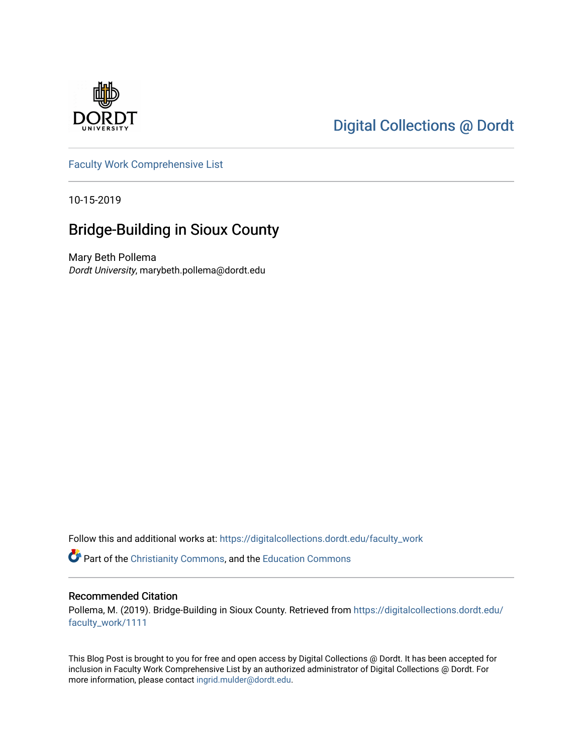

# [Digital Collections @ Dordt](https://digitalcollections.dordt.edu/)

[Faculty Work Comprehensive List](https://digitalcollections.dordt.edu/faculty_work)

10-15-2019

# Bridge-Building in Sioux County

Mary Beth Pollema Dordt University, marybeth.pollema@dordt.edu

Follow this and additional works at: [https://digitalcollections.dordt.edu/faculty\\_work](https://digitalcollections.dordt.edu/faculty_work?utm_source=digitalcollections.dordt.edu%2Ffaculty_work%2F1111&utm_medium=PDF&utm_campaign=PDFCoverPages) 

Part of the [Christianity Commons,](http://network.bepress.com/hgg/discipline/1181?utm_source=digitalcollections.dordt.edu%2Ffaculty_work%2F1111&utm_medium=PDF&utm_campaign=PDFCoverPages) and the [Education Commons](http://network.bepress.com/hgg/discipline/784?utm_source=digitalcollections.dordt.edu%2Ffaculty_work%2F1111&utm_medium=PDF&utm_campaign=PDFCoverPages) 

#### Recommended Citation

Pollema, M. (2019). Bridge-Building in Sioux County. Retrieved from [https://digitalcollections.dordt.edu/](https://digitalcollections.dordt.edu/faculty_work/1111?utm_source=digitalcollections.dordt.edu%2Ffaculty_work%2F1111&utm_medium=PDF&utm_campaign=PDFCoverPages) [faculty\\_work/1111](https://digitalcollections.dordt.edu/faculty_work/1111?utm_source=digitalcollections.dordt.edu%2Ffaculty_work%2F1111&utm_medium=PDF&utm_campaign=PDFCoverPages) 

This Blog Post is brought to you for free and open access by Digital Collections @ Dordt. It has been accepted for inclusion in Faculty Work Comprehensive List by an authorized administrator of Digital Collections @ Dordt. For more information, please contact [ingrid.mulder@dordt.edu.](mailto:ingrid.mulder@dordt.edu)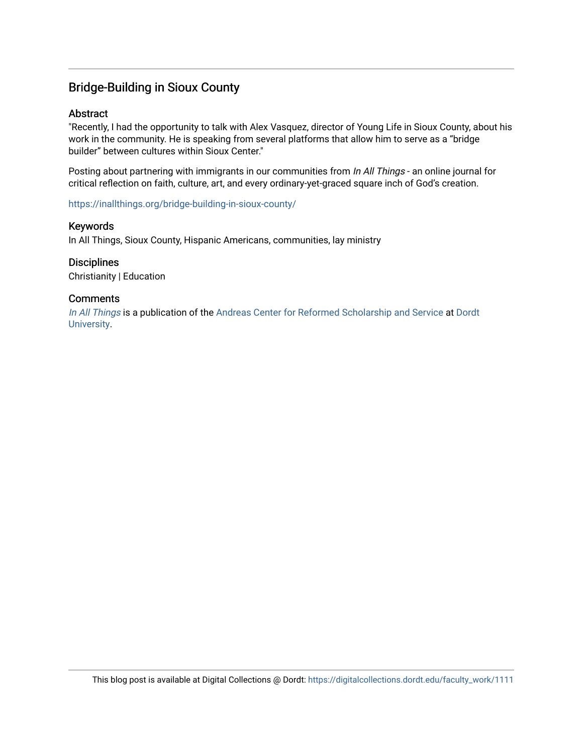## Bridge-Building in Sioux County

#### **Abstract**

"Recently, I had the opportunity to talk with Alex Vasquez, director of Young Life in Sioux County, about his work in the community. He is speaking from several platforms that allow him to serve as a "bridge builder" between cultures within Sioux Center."

Posting about partnering with immigrants in our communities from In All Things - an online journal for critical reflection on faith, culture, art, and every ordinary-yet-graced square inch of God's creation.

<https://inallthings.org/bridge-building-in-sioux-county/>

#### Keywords

In All Things, Sioux County, Hispanic Americans, communities, lay ministry

#### **Disciplines**

Christianity | Education

#### **Comments**

[In All Things](http://inallthings.org/) is a publication of the [Andreas Center for Reformed Scholarship and Service](http://www.dordt.edu/services_support/andreas_center/) at Dordt [University](http://www.dordt.edu/).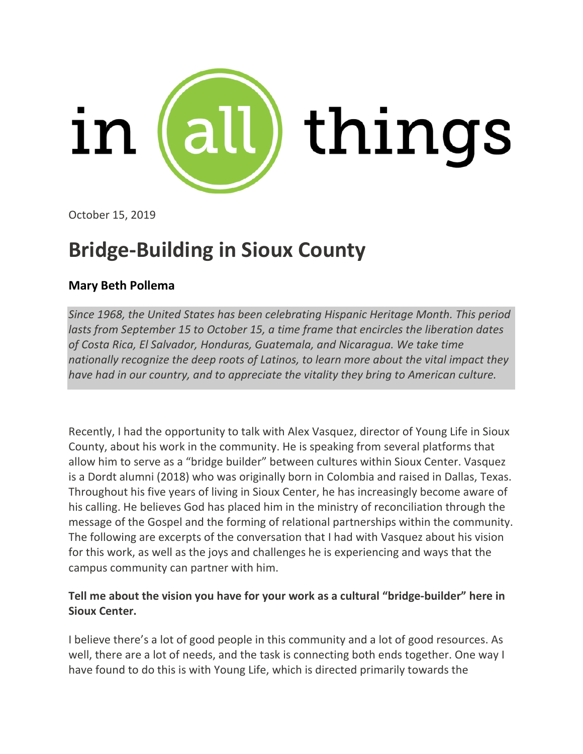

October 15, 2019

# **Bridge-Building in Sioux County**

## **Mary Beth Pollema**

*Since 1968, the United States has been celebrating Hispanic Heritage Month. This period lasts from September 15 to October 15, a time frame that encircles the liberation dates of Costa Rica, El Salvador, Honduras, Guatemala, and Nicaragua. We take time nationally recognize the deep roots of Latinos, to learn more about the vital impact they have had in our country, and to appreciate the vitality they bring to American culture.*

Recently, I had the opportunity to talk with Alex Vasquez, director of Young Life in Sioux County, about his work in the community. He is speaking from several platforms that allow him to serve as a "bridge builder" between cultures within Sioux Center. Vasquez is a Dordt alumni (2018) who was originally born in Colombia and raised in Dallas, Texas. Throughout his five years of living in Sioux Center, he has increasingly become aware of his calling. He believes God has placed him in the ministry of reconciliation through the message of the Gospel and the forming of relational partnerships within the community. The following are excerpts of the conversation that I had with Vasquez about his vision for this work, as well as the joys and challenges he is experiencing and ways that the campus community can partner with him.

#### **Tell me about the vision you have for your work as a cultural "bridge-builder" here in Sioux Center.**

I believe there's a lot of good people in this community and a lot of good resources. As well, there are a lot of needs, and the task is connecting both ends together. One way I have found to do this is with Young Life, which is directed primarily towards the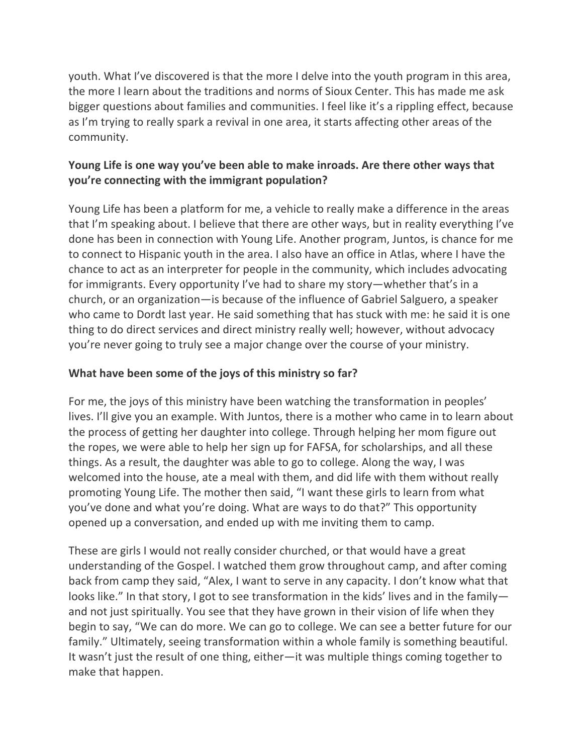youth. What I've discovered is that the more I delve into the youth program in this area, the more I learn about the traditions and norms of Sioux Center. This has made me ask bigger questions about families and communities. I feel like it's a rippling effect, because as I'm trying to really spark a revival in one area, it starts affecting other areas of the community.

## **Young Life is one way you've been able to make inroads. Are there other ways that you're connecting with the immigrant population?**

Young Life has been a platform for me, a vehicle to really make a difference in the areas that I'm speaking about. I believe that there are other ways, but in reality everything I've done has been in connection with Young Life. Another program, Juntos, is chance for me to connect to Hispanic youth in the area. I also have an office in Atlas, where I have the chance to act as an interpreter for people in the community, which includes advocating for immigrants. Every opportunity I've had to share my story—whether that's in a church, or an organization—is because of the influence of Gabriel Salguero, a speaker who came to Dordt last year. He said something that has stuck with me: he said it is one thing to do direct services and direct ministry really well; however, without advocacy you're never going to truly see a major change over the course of your ministry.

## **What have been some of the joys of this ministry so far?**

For me, the joys of this ministry have been watching the transformation in peoples' lives. I'll give you an example. With Juntos, there is a mother who came in to learn about the process of getting her daughter into college. Through helping her mom figure out the ropes, we were able to help her sign up for FAFSA, for scholarships, and all these things. As a result, the daughter was able to go to college. Along the way, I was welcomed into the house, ate a meal with them, and did life with them without really promoting Young Life. The mother then said, "I want these girls to learn from what you've done and what you're doing. What are ways to do that?" This opportunity opened up a conversation, and ended up with me inviting them to camp.

These are girls I would not really consider churched, or that would have a great understanding of the Gospel. I watched them grow throughout camp, and after coming back from camp they said, "Alex, I want to serve in any capacity. I don't know what that looks like." In that story, I got to see transformation in the kids' lives and in the family and not just spiritually. You see that they have grown in their vision of life when they begin to say, "We can do more. We can go to college. We can see a better future for our family." Ultimately, seeing transformation within a whole family is something beautiful. It wasn't just the result of one thing, either—it was multiple things coming together to make that happen.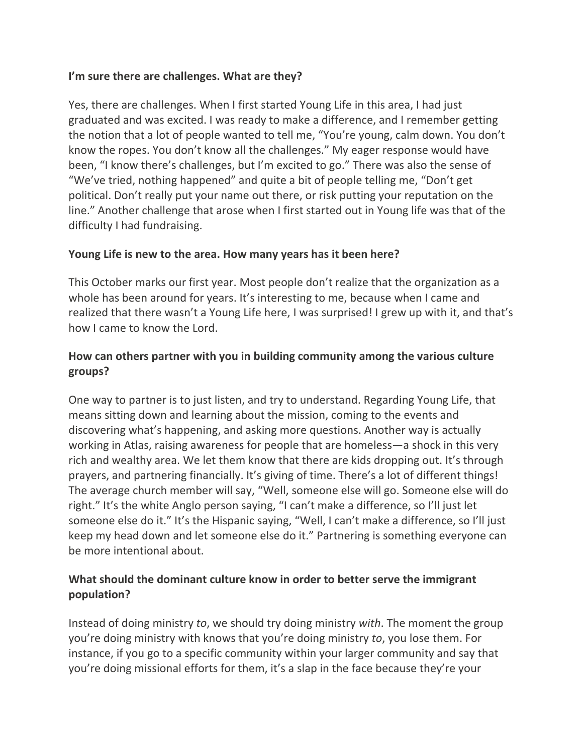#### **I'm sure there are challenges. What are they?**

Yes, there are challenges. When I first started Young Life in this area, I had just graduated and was excited. I was ready to make a difference, and I remember getting the notion that a lot of people wanted to tell me, "You're young, calm down. You don't know the ropes. You don't know all the challenges." My eager response would have been, "I know there's challenges, but I'm excited to go." There was also the sense of "We've tried, nothing happened" and quite a bit of people telling me, "Don't get political. Don't really put your name out there, or risk putting your reputation on the line." Another challenge that arose when I first started out in Young life was that of the difficulty I had fundraising.

## **Young Life is new to the area. How many years has it been here?**

This October marks our first year. Most people don't realize that the organization as a whole has been around for years. It's interesting to me, because when I came and realized that there wasn't a Young Life here, I was surprised! I grew up with it, and that's how I came to know the Lord.

## **How can others partner with you in building community among the various culture groups?**

One way to partner is to just listen, and try to understand. Regarding Young Life, that means sitting down and learning about the mission, coming to the events and discovering what's happening, and asking more questions. Another way is actually working in Atlas, raising awareness for people that are homeless—a shock in this very rich and wealthy area. We let them know that there are kids dropping out. It's through prayers, and partnering financially. It's giving of time. There's a lot of different things! The average church member will say, "Well, someone else will go. Someone else will do right." It's the white Anglo person saying, "I can't make a difference, so I'll just let someone else do it." It's the Hispanic saying, "Well, I can't make a difference, so I'll just keep my head down and let someone else do it." Partnering is something everyone can be more intentional about.

## **What should the dominant culture know in order to better serve the immigrant population?**

Instead of doing ministry *to*, we should try doing ministry *with*. The moment the group you're doing ministry with knows that you're doing ministry *to*, you lose them. For instance, if you go to a specific community within your larger community and say that you're doing missional efforts for them, it's a slap in the face because they're your